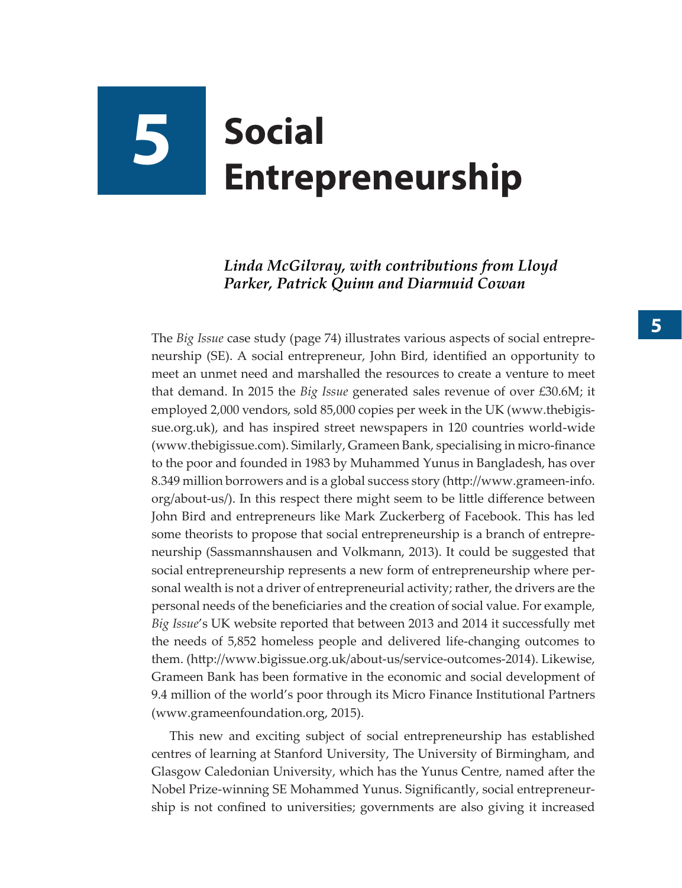# **5 Social Entrepreneurship**

#### *Linda McGilvray, with contributions from Lloyd Parker, Patrick Quinn and Diarmuid Cowan*

The *Big Issue* case study (page 74) illustrates various aspects of social entrepreneurship (SE). A social entrepreneur, John Bird, identified an opportunity to meet an unmet need and marshalled the resources to create a venture to meet that demand. In 2015 the *Big Issue* generated sales revenue of over £30.6M; it employed 2,000 vendors, sold 85,000 copies per week in the UK ([www.thebigis](http://www.thebigissue.org.uk)[sue.org.uk\)](http://www.thebigissue.org.uk), and has inspired street newspapers in 120 countries world-wide [\(www.thebigissue.com](http://www.thebigissue.com)). Similarly, Grameen Bank, specialising in micro-finance to the poor and founded in 1983 by Muhammed Yunus in Bangladesh, has over 8.349 million borrowers and is a global success story ([http://www.grameen-info.](http://www.grameen-info.org/about-us/) [org/about-us/](http://www.grameen-info.org/about-us/)). In this respect there might seem to be little difference between John Bird and entrepreneurs like Mark Zuckerberg of Facebook. This has led some theorists to propose that social entrepreneurship is a branch of entrepreneurship (Sassmannshausen and Volkmann, 2013). It could be suggested that social entrepreneurship represents a new form of entrepreneurship where personal wealth is not a driver of entrepreneurial activity; rather, the drivers are the personal needs of the beneficiaries and the creation of social value. For example, *Big Issue*'s UK website reported that between 2013 and 2014 it successfully met the needs of 5,852 homeless people and delivered life-changing outcomes to them. (<http://www.bigissue.org.uk/about-us/service-outcomes-2014>). Likewise, Grameen Bank has been formative in the economic and social development of 9.4 million of the world's poor through its Micro Finance Institutional Partners [\(www.grameenfoundation.org](http://www.grameenfoundation.org), 2015).

This new and exciting subject of social entrepreneurship has established centres of learning at Stanford University, The University of Birmingham, and Glasgow Caledonian University, which has the Yunus Centre, named after the Nobel Prize-winning SE Mohammed Yunus. Significantly, social entrepreneurship is not confined to universities; governments are also giving it increased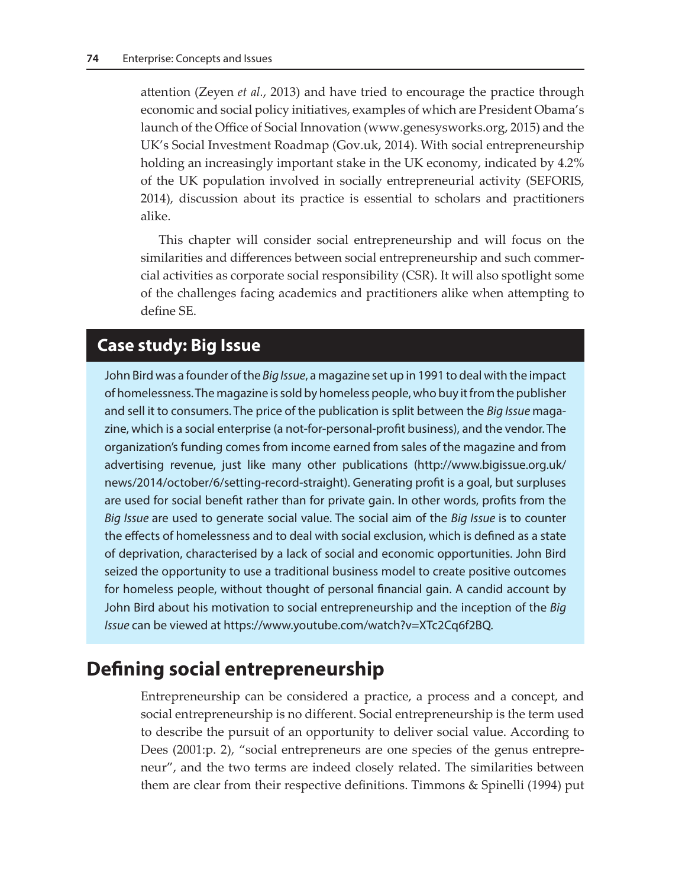attention (Zeyen *et al.*, 2013) and have tried to encourage the practice through economic and social policy initiatives, examples of which are President Obama's launch of the Office of Social Innovation ([www.genesysworks.org,](http://www.genesysworks.org/) 2015) and the UK's Social Investment Roadmap ([Gov.uk](https://www.gov.uk/government/news/investing-in-social-enterprise-government-publishes-policy-roadmap), 2014). With social entrepreneurship holding an increasingly important stake in the UK economy, indicated by 4.2% of the UK population involved in socially entrepreneurial activity (SEFORIS, 2014), discussion about its practice is essential to scholars and practitioners alike.

This chapter will consider social entrepreneurship and will focus on the similarities and differences between social entrepreneurship and such commercial activities as corporate social responsibility (CSR). It will also spotlight some of the challenges facing academics and practitioners alike when attempting to define SE.

### **Case study: Big Issue**

John Bird was a founder of the *Big Issue*, a magazine set up in 1991 to deal with the impact of homelessness. The magazine is sold by homeless people, who buy it from the publisher and sell it to consumers. The price of the publication is split between the *Big Issue* magazine, which is a social enterprise (a not-for-personal-profit business), and the vendor. The organization's funding comes from income earned from sales of the magazine and from advertising revenue, just like many other publications [\(http://www.bigissue.org.uk/](http://www.bigissue.org.uk/news/2014/october/6/setting-record-straight) [news/2014/october/6/setting-record-straight](http://www.bigissue.org.uk/news/2014/october/6/setting-record-straight)). Generating profit is a goal, but surpluses are used for social benefit rather than for private gain. In other words, profits from the *Big Issue* are used to generate social value. The social aim of the *Big Issue* is to counter the effects of homelessness and to deal with social exclusion, which is defined as a state of deprivation, characterised by a lack of social and economic opportunities. John Bird seized the opportunity to use a traditional business model to create positive outcomes for homeless people, without thought of personal financial gain. A candid account by John Bird about his motivation to social entrepreneurship and the inception of the *Big Issue* can be viewed at [https://www.youtube.com/watch?v=XTc2Cq6f2BQ.](https://www.youtube.com/watch?v=XTc2Cq6f2BQ)

## **Defining social entrepreneurship**

Entrepreneurship can be considered a practice, a process and a concept, and social entrepreneurship is no different. Social entrepreneurship is the term used to describe the pursuit of an opportunity to deliver social value. According to Dees (2001:p. 2), "social entrepreneurs are one species of the genus entrepreneur", and the two terms are indeed closely related. The similarities between them are clear from their respective definitions. Timmons & Spinelli (1994) put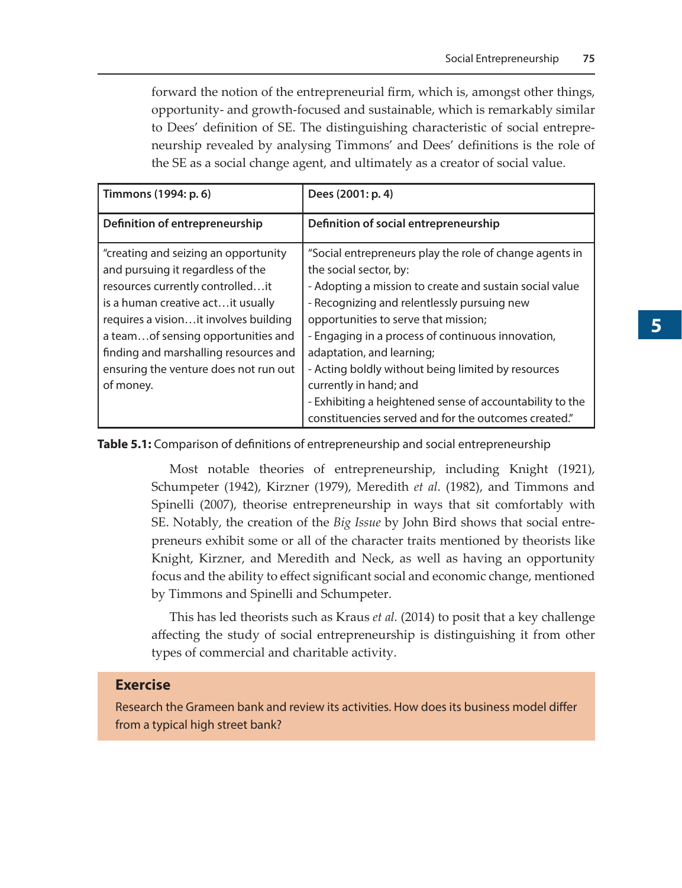forward the notion of the entrepreneurial firm, which is, amongst other things, opportunity- and growth-focused and sustainable, which is remarkably similar to Dees' definition of SE. The distinguishing characteristic of social entrepreneurship revealed by analysing Timmons' and Dees' definitions is the role of the SE as a social change agent, and ultimately as a creator of social value.

| Timmons (1994: p. 6)                   | Dees (2001: p. 4)                                        |
|----------------------------------------|----------------------------------------------------------|
| Definition of entrepreneurship         | Definition of social entrepreneurship                    |
| "creating and seizing an opportunity   | "Social entrepreneurs play the role of change agents in  |
| and pursuing it regardless of the      | the social sector, by:                                   |
| resources currently controlledit       | - Adopting a mission to create and sustain social value  |
| is a human creative act it usually     | - Recognizing and relentlessly pursuing new              |
| requires a vision it involves building | opportunities to serve that mission;                     |
| a team of sensing opportunities and    | - Engaging in a process of continuous innovation,        |
| finding and marshalling resources and  | adaptation, and learning;                                |
| ensuring the venture does not run out  | - Acting boldly without being limited by resources       |
| of money.                              | currently in hand; and                                   |
|                                        | - Exhibiting a heightened sense of accountability to the |
|                                        | constituencies served and for the outcomes created."     |

**Table 5.1:** Comparison of definitions of entrepreneurship and social entrepreneurship

Most notable theories of entrepreneurship, including Knight (1921), Schumpeter (1942), Kirzner (1979), Meredith *et al*. (1982), and Timmons and Spinelli (2007), theorise entrepreneurship in ways that sit comfortably with SE. Notably, the creation of the *Big Issue* by John Bird shows that social entrepreneurs exhibit some or all of the character traits mentioned by theorists like Knight, Kirzner, and Meredith and Neck, as well as having an opportunity focus and the ability to effect significant social and economic change, mentioned by Timmons and Spinelli and Schumpeter.

This has led theorists such as Kraus *et al.* (2014) to posit that a key challenge affecting the study of social entrepreneurship is distinguishing it from other types of commercial and charitable activity.

#### **Exercise**

Research the Grameen bank and review its activities. How does its business model differ from a typical high street bank?